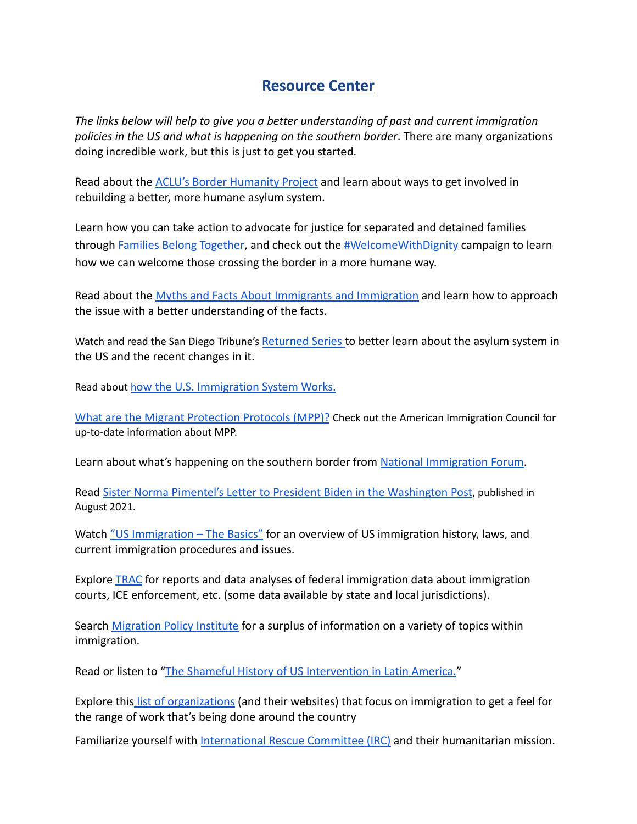## **Resource Center**

*The links below will help to give you a better understanding of past and current immigration policies in the US and what is happening on the southern border*. There are many organizations doing incredible work, but this is just to get you started.

Read about the [ACLU's Border Humanity Project](http://www.borderhumanity.org/) and learn about ways to get involved in rebuilding a better, more humane asylum system.

Learn how you can take action to advocate for justice for separated and detained families through [Families Belong Together](https://www.familiesbelongtogether.org/), and check out the [#WelcomeWithDignity](https://welcomewithdignity.org/) campaign to learn how we can welcome those crossing the border in a more humane way.

Read about the [Myths and Facts About Immigrants and](https://www.adl.org/resources/fact-sheets/myths-and-facts-about-immigrants-and-immigration-en-espanol?fbclid=IwAR1Fv_35aZExAiIC4BZ-o_8M88DWVXxh4EUPJp9BOF8q35aZrYFMLVzfF9I) Immigration and learn how to approach the issue with a better understanding of the facts.

Watch and read the San Diego Tribune's [Returned Series](https://www.sandiegouniontribune.com/returned) to better learn about the asylum system in the US and the recent changes in it.

Read about h[ow the U.S. Immigration System Works.](https://www.americanimmigrationcouncil.org/)

[What are the Migrant Protection Protocols \(MPP\)?](https://immigrationforum.org/article/explainer-the-migrant-protection-protocols/) Check out the American Immigration Council for up-to-date information about MPP.

Learn about what's happening on the southern border from [National Immigration Forum.](https://immigrationforum.org/article/explainer-whats-happening-at-the-u-s-mexico-border/)

Read [Sister Norma Pimentel's Letter to President Biden](https://www.washingtonpost.com/opinions/2021/09/06/norma-pimentel-mpp-biden-help-migrants/) in the Washington Post, published in August 2021.

Watch ["US Immigration – The Basics"](https://www.youtube.com/watch?v=xsP3zHzRxPA&t=26s) for an overview of US immigration history, laws, and current immigration procedures and issues.

Explore [TRAC](https://trac.syr.edu/immigration/) for reports and data analyses of federal immigration data about immigration courts, ICE enforcement, etc. (some data available by state and local jurisdictions).

Search [Migration Policy Institute](https://www.migrationpolicy.org/) for a surplus of information on a variety of topics within immigration.

Read or listen to ["The Shameful History of US Intervention](https://www.wnycstudios.org/podcasts/otm/segments/shameful-history-us-intervention-latin-america) in Latin America."

Explore this [list of organizations](https://theswamp.media/important-organizations-that-help-immigrants-in-the-us) (and their websites) that focus on immigration to get a feel for the range of work that's being done around the country

Familiarize yourself with [International Rescue Committee](https://www.rescue.org/) (IRC) and their humanitarian mission.